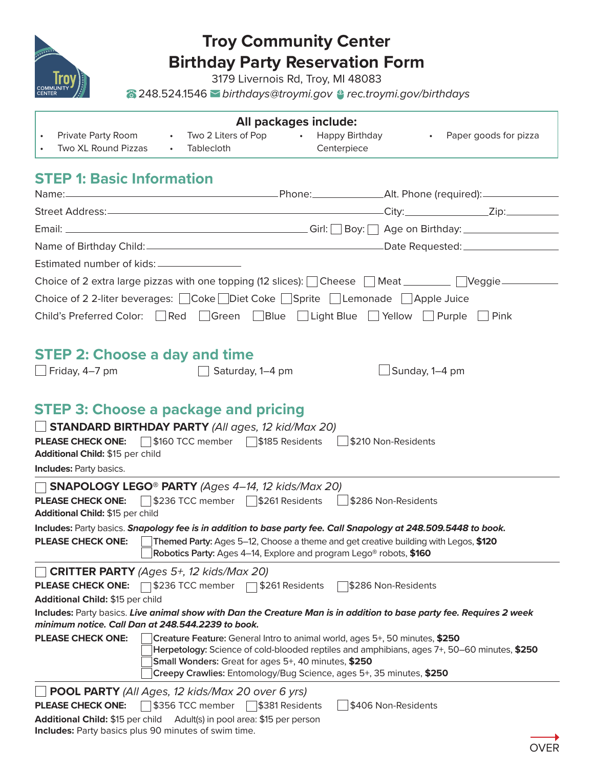

# **Troy Community Center Birthday Party Reservation Form**

3179 Livernois Rd, Troy, MI 48083

248.524.1546 *birthdays@troymi.gov rec.troymi.gov/birthdays* 

| <b>All packages include:</b>                                                                                                                                        |                                                                                                                                                                                                                                                                                                          |                     |                         |  |  |  |
|---------------------------------------------------------------------------------------------------------------------------------------------------------------------|----------------------------------------------------------------------------------------------------------------------------------------------------------------------------------------------------------------------------------------------------------------------------------------------------------|---------------------|-------------------------|--|--|--|
| Private Party Room<br>$\bullet$<br>Two XL Round Pizzas<br>Tablecloth<br>$\bullet$ .                                                                                 | • Two 2 Liters of Pop •<br><b>Happy Birthday</b><br>Centerpiece                                                                                                                                                                                                                                          |                     | • Paper goods for pizza |  |  |  |
| <b>STEP 1: Basic Information</b>                                                                                                                                    |                                                                                                                                                                                                                                                                                                          |                     |                         |  |  |  |
| Name: Name: 2008 Manners 2012 (Name: 2014) Manners 2012 (Name: 2014) Manners 2013 (Name: 2014) Manners 2014 (N                                                      |                                                                                                                                                                                                                                                                                                          |                     |                         |  |  |  |
|                                                                                                                                                                     |                                                                                                                                                                                                                                                                                                          |                     |                         |  |  |  |
|                                                                                                                                                                     |                                                                                                                                                                                                                                                                                                          |                     |                         |  |  |  |
|                                                                                                                                                                     |                                                                                                                                                                                                                                                                                                          |                     |                         |  |  |  |
| Estimated number of kids: __________________                                                                                                                        |                                                                                                                                                                                                                                                                                                          |                     |                         |  |  |  |
| Choice of 2 extra large pizzas with one topping (12 slices): Cheese Meat _______ Veggie _______                                                                     |                                                                                                                                                                                                                                                                                                          |                     |                         |  |  |  |
| Choice of 2 2-liter beverages: Coke Diet Coke Sprite Lemonade Apple Juice                                                                                           |                                                                                                                                                                                                                                                                                                          |                     |                         |  |  |  |
| Child's Preferred Color: Red Green Blue Light Blue Yellow Purple Pink                                                                                               |                                                                                                                                                                                                                                                                                                          |                     |                         |  |  |  |
|                                                                                                                                                                     |                                                                                                                                                                                                                                                                                                          |                     |                         |  |  |  |
| <b>STEP 2: Choose a day and time</b>                                                                                                                                |                                                                                                                                                                                                                                                                                                          |                     |                         |  |  |  |
| $\Box$ Friday, 4–7 pm                                                                                                                                               | Saturday, 1-4 pm                                                                                                                                                                                                                                                                                         | Sunday, 1-4 pm      |                         |  |  |  |
|                                                                                                                                                                     |                                                                                                                                                                                                                                                                                                          |                     |                         |  |  |  |
| <b>PLEASE CHECK ONE:</b> \$160 TCC member \$185 Residents \$210 Non-Residents<br>Additional Child: \$15 per child<br><b>Includes: Party basics.</b>                 |                                                                                                                                                                                                                                                                                                          |                     |                         |  |  |  |
| $\Box$ SNAPOLOGY LEGO <sup>®</sup> PARTY (Ages 4–14, 12 kids/Max 20)<br><b>PLEASE CHECK ONE:</b> 5236 TCC member 5261 Residents<br>Additional Child: \$15 per child |                                                                                                                                                                                                                                                                                                          | \$286 Non-Residents |                         |  |  |  |
| Includes: Party basics. Snapology fee is in addition to base party fee. Call Snapology at 248.509.5448 to book.                                                     |                                                                                                                                                                                                                                                                                                          |                     |                         |  |  |  |
| <b>PLEASE CHECK ONE:</b>                                                                                                                                            | Themed Party: Ages 5-12, Choose a theme and get creative building with Legos, \$120<br><b>Robotics Party:</b> Ages 4–14, Explore and program Lego® robots, \$160                                                                                                                                         |                     |                         |  |  |  |
| <b>CRITTER PARTY</b> (Ages 5+, 12 kids/Max 20)                                                                                                                      |                                                                                                                                                                                                                                                                                                          |                     |                         |  |  |  |
| <b>PLEASE CHECK ONE:</b><br>\$236 TCC member<br>Additional Child: \$15 per child                                                                                    | \$261 Residents                                                                                                                                                                                                                                                                                          | \$286 Non-Residents |                         |  |  |  |
| Includes: Party basics. Live animal show with Dan the Creature Man is in addition to base party fee. Requires 2 week                                                |                                                                                                                                                                                                                                                                                                          |                     |                         |  |  |  |
| minimum notice. Call Dan at 248.544.2239 to book.                                                                                                                   |                                                                                                                                                                                                                                                                                                          |                     |                         |  |  |  |
| <b>PLEASE CHECK ONE:</b>                                                                                                                                            | Creature Feature: General Intro to animal world, ages 5+, 50 minutes, \$250<br>Herpetology: Science of cold-blooded reptiles and amphibians, ages 7+, 50–60 minutes, \$250<br>Small Wonders: Great for ages 5+, 40 minutes, \$250<br>Creepy Crawlies: Entomology/Bug Science, ages 5+, 35 minutes, \$250 |                     |                         |  |  |  |
| <b>POOL PARTY</b> (All Ages, 12 kids/Max 20 over 6 yrs)                                                                                                             |                                                                                                                                                                                                                                                                                                          |                     |                         |  |  |  |
| \$356 TCC member<br><b>PLEASE CHECK ONE:</b>                                                                                                                        | \$381 Residents                                                                                                                                                                                                                                                                                          | \$406 Non-Residents |                         |  |  |  |
| Additional Child: \$15 per child                                                                                                                                    | Adult(s) in pool area: \$15 per person                                                                                                                                                                                                                                                                   |                     |                         |  |  |  |
| Includes: Party basics plus 90 minutes of swim time.                                                                                                                |                                                                                                                                                                                                                                                                                                          |                     |                         |  |  |  |